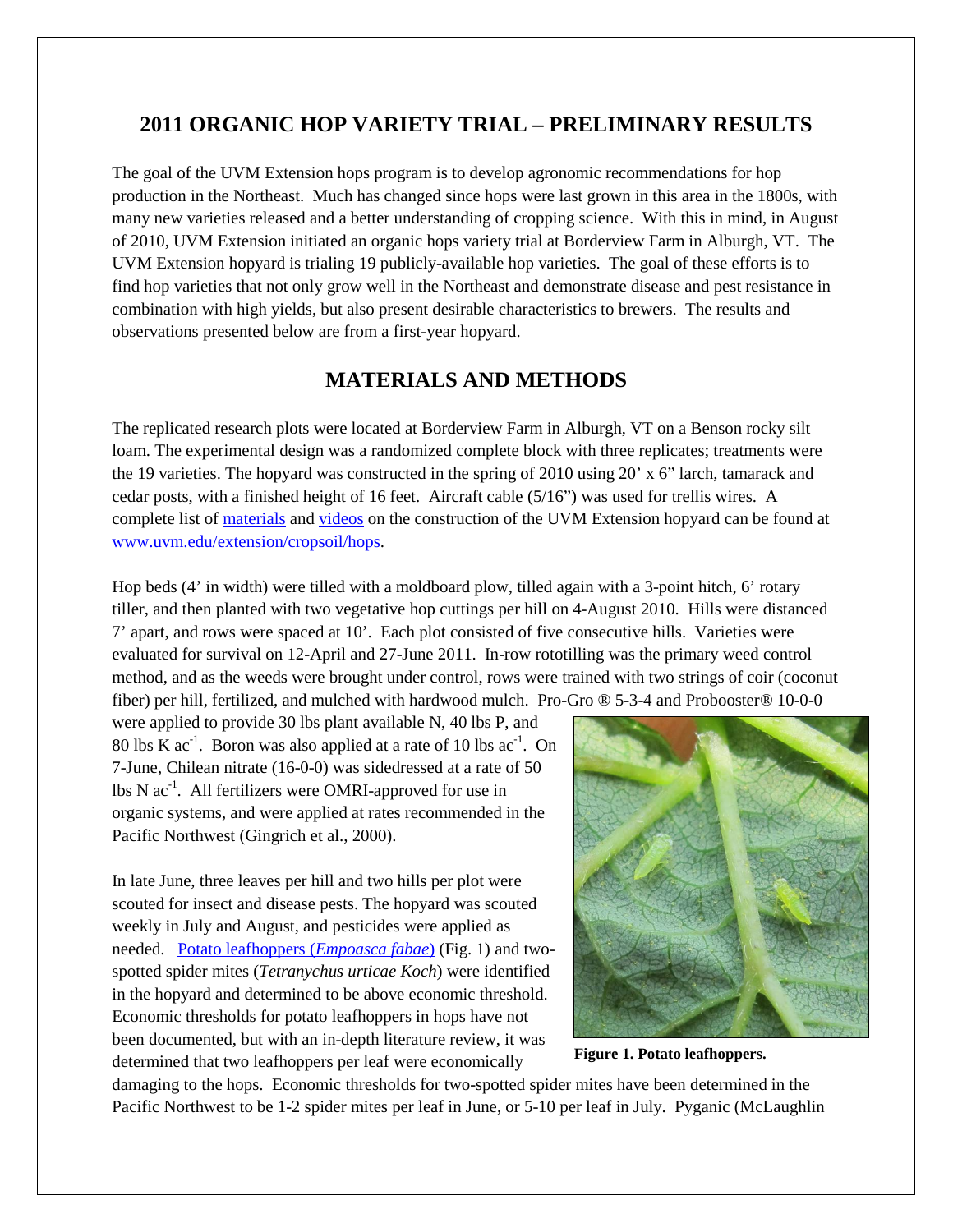# **2011 ORGANIC HOP VARIETY TRIAL – PRELIMINARY RESULTS**

The goal of the UVM Extension hops program is to develop agronomic recommendations for hop production in the Northeast. Much has changed since hops were last grown in this area in the 1800s, with many new varieties released and a better understanding of cropping science. With this in mind, in August of 2010, UVM Extension initiated an organic hops variety trial at Borderview Farm in Alburgh, VT. The UVM Extension hopyard is trialing 19 publicly-available hop varieties. The goal of these efforts is to find hop varieties that not only grow well in the Northeast and demonstrate disease and pest resistance in combination with high yields, but also present desirable characteristics to brewers. The results and observations presented below are from a first-year hopyard.

# **MATERIALS AND METHODS**

The replicated research plots were located at Borderview Farm in Alburgh, VT on a Benson rocky silt loam. The experimental design was a randomized complete block with three replicates; treatments were the 19 varieties. The hopyard was constructed in the spring of 2010 using 20' x 6" larch, tamarack and cedar posts, with a finished height of 16 feet. Aircraft cable (5/16") was used for trellis wires. A complete list of [materials](http://www.uvm.edu/extension/cropsoil/hops#construction) and [videos](http://youtu.be/vPF7QlVGgtA) on the construction of the UVM Extension hopyard can be found at [www.uvm.edu/extension/cropsoil/hops.](http://www.uvm.edu/extension/cropsoil/hops)

Hop beds (4' in width) were tilled with a moldboard plow, tilled again with a 3-point hitch, 6' rotary tiller, and then planted with two vegetative hop cuttings per hill on 4-August 2010. Hills were distanced 7' apart, and rows were spaced at 10'. Each plot consisted of five consecutive hills. Varieties were evaluated for survival on 12-April and 27-June 2011. In-row rototilling was the primary weed control method, and as the weeds were brought under control, rows were trained with two strings of coir (coconut fiber) per hill, fertilized, and mulched with hardwood mulch. Pro-Gro ® 5-3-4 and Probooster® 10-0-0

were applied to provide 30 lbs plant available N, 40 lbs P, and 80 lbs K  $ac^{-1}$ . Boron was also applied at a rate of 10 lbs  $ac^{-1}$ . On 7-June, Chilean nitrate (16-0-0) was sidedressed at a rate of 50 lbs N ac<sup>-1</sup>. All fertilizers were OMRI-approved for use in organic systems, and were applied at rates recommended in the Pacific Northwest (Gingrich et al., 2000).

In late June, three leaves per hill and two hills per plot were scouted for insect and disease pests. The hopyard was scouted weekly in July and August, and pesticides were applied as needed. [Potato leafhoppers \(](http://www.uvm.edu/extension/cropsoil/wp-content/uploads/Leaf_Hopper_Article.pdf)*Empoasca fabae*) (Fig. 1) and twospotted spider mites (*Tetranychus urticae Koch*) were identified in the hopyard and determined to be above economic threshold. Economic thresholds for potato leafhoppers in hops have not been documented, but with an in-depth literature review, it was determined that two leafhoppers per leaf were economically



**Figure 1. Potato leafhoppers.**

damaging to the hops. Economic thresholds for two-spotted spider mites have been determined in the Pacific Northwest to be 1-2 spider mites per leaf in June, or 5-10 per leaf in July. Pyganic (McLaughlin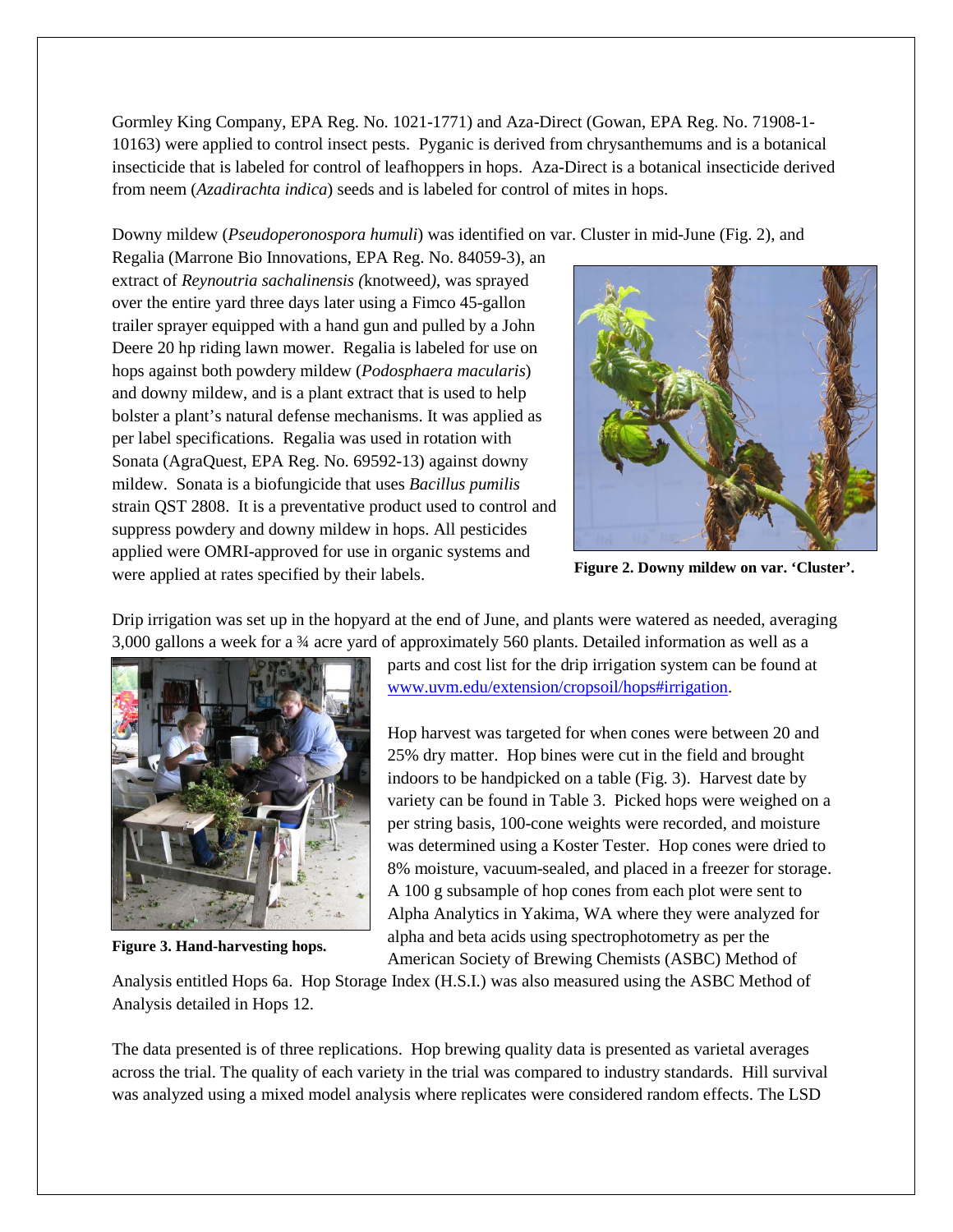Gormley King Company, EPA Reg. No. 1021-1771) and Aza-Direct (Gowan, EPA Reg. No. 71908-1- 10163) were applied to control insect pests. Pyganic is derived from chrysanthemums and is a botanical insecticide that is labeled for control of leafhoppers in hops. Aza-Direct is a botanical insecticide derived from neem (*Azadirachta indica*) seeds and is labeled for control of mites in hops.

Downy mildew (*Pseudoperonospora humuli*) was identified on var. Cluster in mid-June (Fig. 2), and

Regalia (Marrone Bio Innovations, EPA Reg. No. 84059-3), an extract of *Reynoutria sachalinensis (*knotweed*)*, was sprayed over the entire yard three days later using a Fimco 45-gallon trailer sprayer equipped with a hand gun and pulled by a John Deere 20 hp riding lawn mower. Regalia is labeled for use on hops against both powdery mildew (*Podosphaera macularis*) and downy mildew, and is a plant extract that is used to help bolster a plant's natural defense mechanisms. It was applied as per label specifications. Regalia was used in rotation with Sonata (AgraQuest, EPA Reg. No. 69592-13) against downy mildew. Sonata is a biofungicide that uses *Bacillus pumilis* strain QST 2808. It is a preventative product used to control and suppress powdery and downy mildew in hops. All pesticides applied were OMRI-approved for use in organic systems and were applied at rates specified by their labels.



**Figure 2. Downy mildew on var. 'Cluster'.** 

Drip irrigation was set up in the hopyard at the end of June, and plants were watered as needed, averaging 3,000 gallons a week for a ¾ acre yard of approximately 560 plants. Detailed information as well as a



**Figure 3. Hand-harvesting hops.**

parts and cost list for the drip irrigation system can be found at [www.uvm.edu/extension/cropsoil/hops#irrigation.](http://www.uvm.edu/extension/cropsoil/hops#irrigation)

Hop harvest was targeted for when cones were between 20 and 25% dry matter. Hop bines were cut in the field and brought indoors to be handpicked on a table (Fig. 3). Harvest date by variety can be found in Table 3. Picked hops were weighed on a per string basis, 100-cone weights were recorded, and moisture was determined using a Koster Tester. Hop cones were dried to 8% moisture, vacuum-sealed, and placed in a freezer for storage. A 100 g subsample of hop cones from each plot were sent to Alpha Analytics in Yakima, WA where they were analyzed for alpha and beta acids using spectrophotometry as per the American Society of Brewing Chemists (ASBC) Method of

Analysis entitled Hops 6a. Hop Storage Index (H.S.I.) was also measured using the ASBC Method of Analysis detailed in Hops 12.

The data presented is of three replications. Hop brewing quality data is presented as varietal averages across the trial. The quality of each variety in the trial was compared to industry standards. Hill survival was analyzed using a mixed model analysis where replicates were considered random effects. The LSD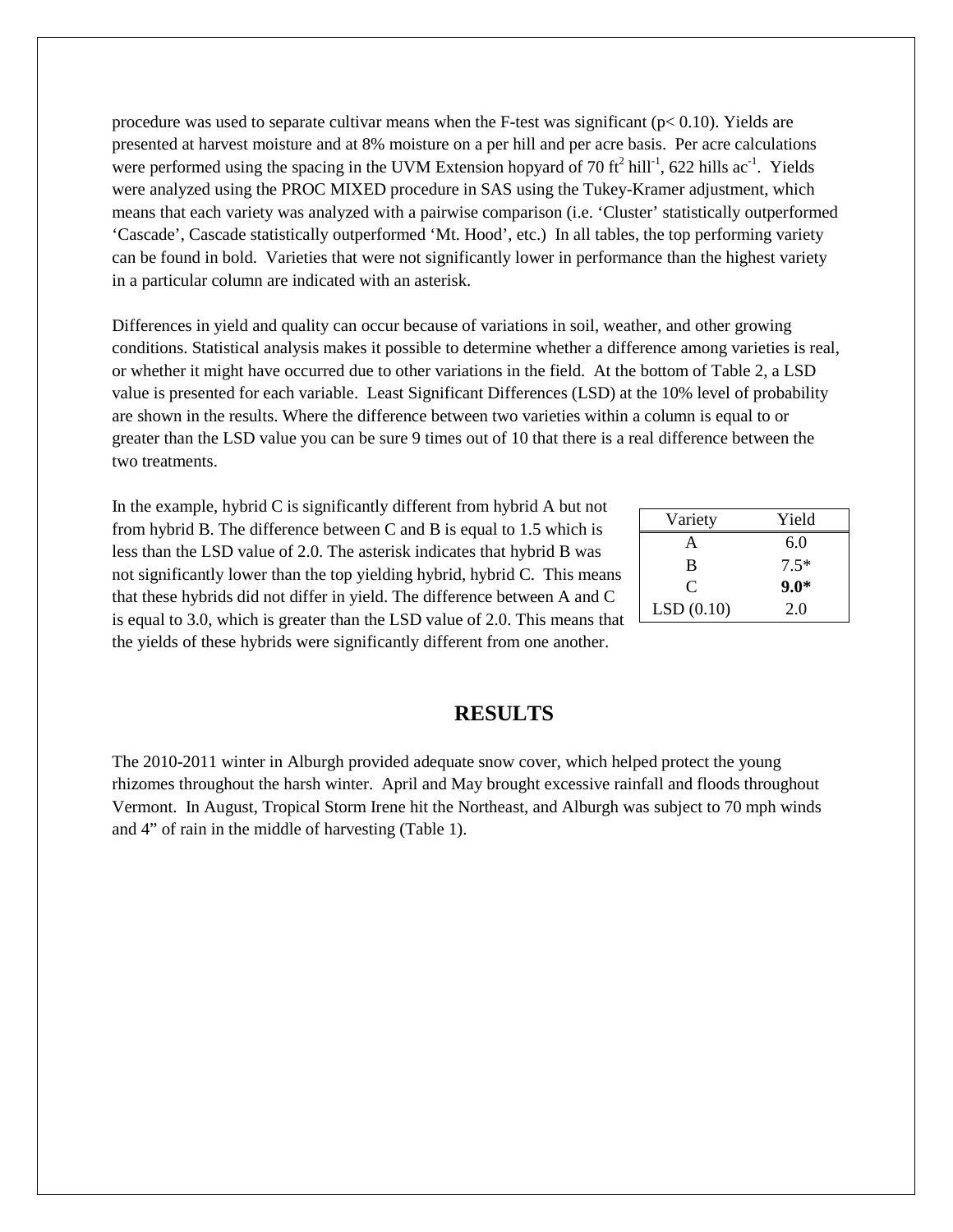procedure was used to separate cultivar means when the F-test was significant ( $p < 0.10$ ). Yields are presented at harvest moisture and at 8% moisture on a per hill and per acre basis. Per acre calculations were performed using the spacing in the UVM Extension hopyard of 70 ft<sup>2</sup> hill<sup>-1</sup>, 622 hills ac<sup>-1</sup>. Yields were analyzed using the PROC MIXED procedure in SAS using the Tukey-Kramer adjustment, which means that each variety was analyzed with a pairwise comparison (i.e. 'Cluster' statistically outperformed 'Cascade', Cascade statistically outperformed 'Mt. Hood', etc.) In all tables, the top performing variety can be found in bold. Varieties that were not significantly lower in performance than the highest variety in a particular column are indicated with an asterisk.

Differences in yield and quality can occur because of variations in soil, weather, and other growing conditions. Statistical analysis makes it possible to determine whether a difference among varieties is real, or whether it might have occurred due to other variations in the field. At the bottom of Table 2, a LSD value is presented for each variable. Least Significant Differences (LSD) at the 10% level of probability are shown in the results. Where the difference between two varieties within a column is equal to or greater than the LSD value you can be sure 9 times out of 10 that there is a real difference between the two treatments.

In the example, hybrid C is significantly different from hybrid A but not from hybrid B. The difference between C and B is equal to 1.5 which is less than the LSD value of 2.0. The asterisk indicates that hybrid B was not significantly lower than the top yielding hybrid, hybrid C. This means that these hybrids did not differ in yield. The difference between A and C is equal to 3.0, which is greater than the LSD value of 2.0. This means that the yields of these hybrids were significantly different from one another.

| Variety   | Yield  |
|-----------|--------|
| A,        | 6.0    |
| B         | $7.5*$ |
| C         | $9.0*$ |
| LSD(0.10) | 2.0    |

## **RESULTS**

The 2010-2011 winter in Alburgh provided adequate snow cover, which helped protect the young rhizomes throughout the harsh winter. April and May brought excessive rainfall and floods throughout Vermont. In August, Tropical Storm Irene hit the Northeast, and Alburgh was subject to 70 mph winds and 4" of rain in the middle of harvesting (Table 1).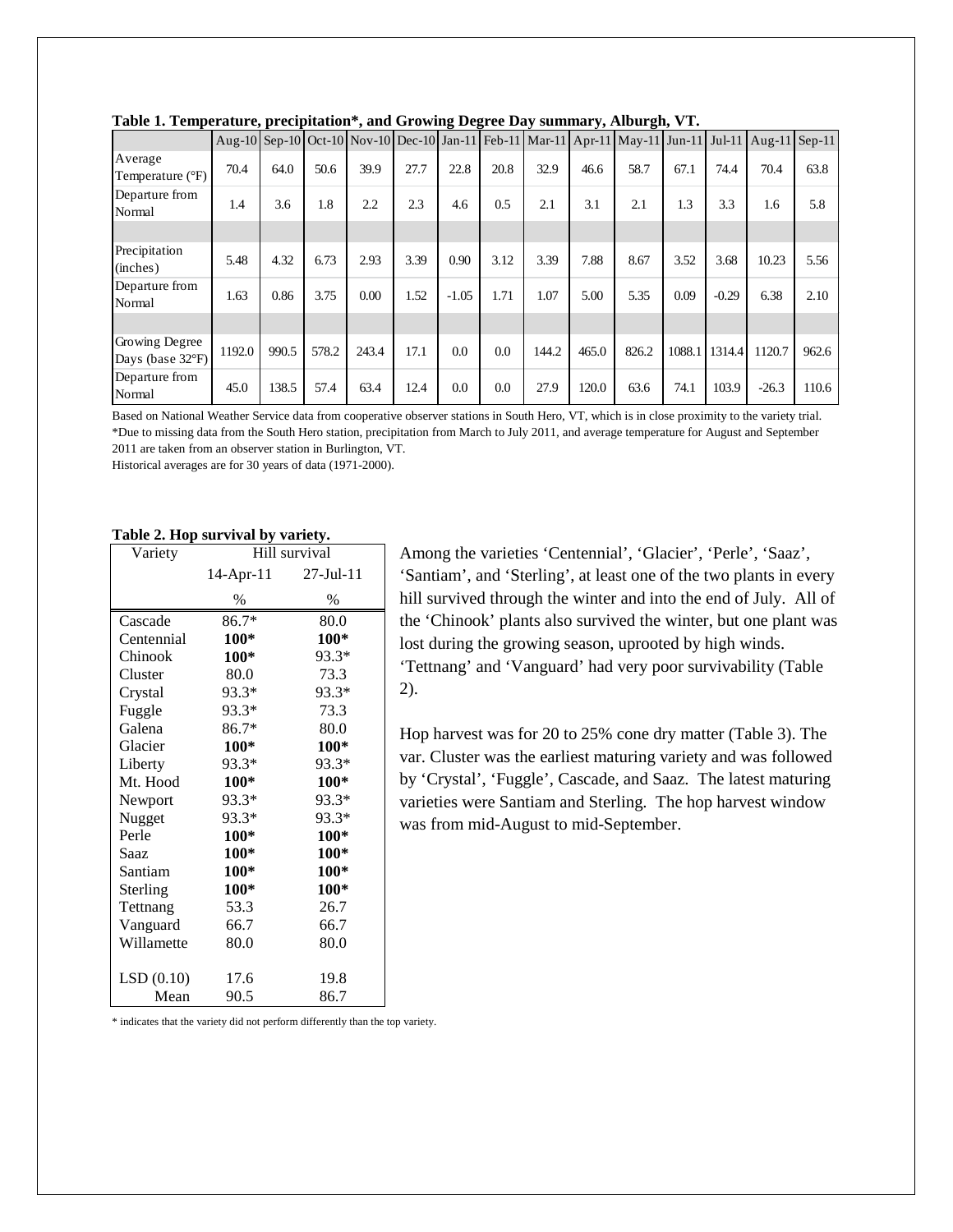|                                              |        |       |       |       |      | – - <del>- -</del> |      |       |       |                                                                                                   |        |         |         |       |
|----------------------------------------------|--------|-------|-------|-------|------|--------------------|------|-------|-------|---------------------------------------------------------------------------------------------------|--------|---------|---------|-------|
|                                              |        |       |       |       |      |                    |      |       |       | Aug-10 Sep-10 Oct-10 Nov-10 Dec-10 Jan-11 Feb-11 Mar-11 Apr-11 May-11 Jun-11 Jul-11 Aug-11 Sep-11 |        |         |         |       |
| Average<br>Temperature (°F)                  | 70.4   | 64.0  | 50.6  | 39.9  | 27.7 | 22.8               | 20.8 | 32.9  | 46.6  | 58.7                                                                                              | 67.1   | 74.4    | 70.4    | 63.8  |
| Departure from<br>Normal                     | 1.4    | 3.6   | 1.8   | 2.2   | 2.3  | 4.6                | 0.5  | 2.1   | 3.1   | 2.1                                                                                               | 1.3    | 3.3     | 1.6     | 5.8   |
|                                              |        |       |       |       |      |                    |      |       |       |                                                                                                   |        |         |         |       |
| Precipitation<br>(inches)                    | 5.48   | 4.32  | 6.73  | 2.93  | 3.39 | 0.90               | 3.12 | 3.39  | 7.88  | 8.67                                                                                              | 3.52   | 3.68    | 10.23   | 5.56  |
| Departure from<br>Normal                     | 1.63   | 0.86  | 3.75  | 0.00  | 1.52 | $-1.05$            | 1.71 | 1.07  | 5.00  | 5.35                                                                                              | 0.09   | $-0.29$ | 6.38    | 2.10  |
|                                              |        |       |       |       |      |                    |      |       |       |                                                                                                   |        |         |         |       |
| Growing Degree<br>Days (base $32^{\circ}F$ ) | 1192.0 | 990.5 | 578.2 | 243.4 | 17.1 | 0.0                | 0.0  | 144.2 | 465.0 | 826.2                                                                                             | 1088.1 | 1314.4  | 1120.7  | 962.6 |
| Departure from<br>Normal                     | 45.0   | 138.5 | 57.4  | 63.4  | 12.4 | 0.0                | 0.0  | 27.9  | 120.0 | 63.6                                                                                              | 74.1   | 103.9   | $-26.3$ | 110.6 |

|  |  | Table 1. Temperature, precipitation*, and Growing Degree Day summary, Alburgh, VT. |
|--|--|------------------------------------------------------------------------------------|
|  |  |                                                                                    |

Based on National Weather Service data from cooperative observer stations in South Hero, VT, which is in close proximity to the variety trial. \*Due to missing data from the South Hero station, precipitation from March to July 2011, and average temperature for August and September 2011 are taken from an observer station in Burlington, VT.

Historical averages are for 30 years of data (1971-2000).

#### **Table 2. Hop survival by variety.**

| Variety    | $\sim$ $\sim$ $\sim$ $\sim$ $\sim$<br>$\sim$<br>Hill survival |        |  |  |
|------------|---------------------------------------------------------------|--------|--|--|
|            | 14-Apr-11 27-Jul-11                                           |        |  |  |
|            | $\%$                                                          | $\%$   |  |  |
| Cascade    | 86.7*                                                         | 80.0   |  |  |
| Centennial | $100*$                                                        | 100*   |  |  |
| Chinook    | $100*$                                                        | 93.3*  |  |  |
| Cluster    | 80.0                                                          | 73.3   |  |  |
| Crystal    | 93.3*                                                         | 93.3*  |  |  |
| Fuggle     | 93.3*                                                         | 73.3   |  |  |
| Galena     | 86.7*                                                         | 80.0   |  |  |
| Glacier    | $100*$                                                        | $100*$ |  |  |
| Liberty    | 93.3*                                                         | 93.3*  |  |  |
| Mt. Hood   | $100*$                                                        | $100*$ |  |  |
| Newport    | 93.3*                                                         | 93.3*  |  |  |
| Nugget     | 93.3*                                                         | 93.3*  |  |  |
| Perle      | $100*$                                                        | $100*$ |  |  |
| Saaz       | $100*$                                                        | 100*   |  |  |
| Santiam    | $100*$                                                        | 100*   |  |  |
| Sterling   | 100*                                                          | 100*   |  |  |
| Tettnang   | 53.3                                                          | 26.7   |  |  |
| Vanguard   | 66.7                                                          | 66.7   |  |  |
| Willamette | 80.0                                                          | 80.0   |  |  |
| LSD(0.10)  | 17.6                                                          | 19.8   |  |  |
| Mean       | 90.5                                                          | 86.7   |  |  |

Among the varieties 'Centennial', 'Glacier', 'Perle', 'Saaz', 'Santiam', and 'Sterling', at least one of the two plants in every hill survived through the winter and into the end of July. All of the 'Chinook' plants also survived the winter, but one plant was lost during the growing season, uprooted by high winds. 'Tettnang' and 'Vanguard' had very poor survivability (Table 2).

Hop harvest was for 20 to 25% cone dry matter (Table 3). The var. Cluster was the earliest maturing variety and was followed by 'Crystal', 'Fuggle', Cascade, and Saaz. The latest maturing varieties were Santiam and Sterling. The hop harvest window was from mid-August to mid-September.

\* indicates that the variety did not perform differently than the top variety.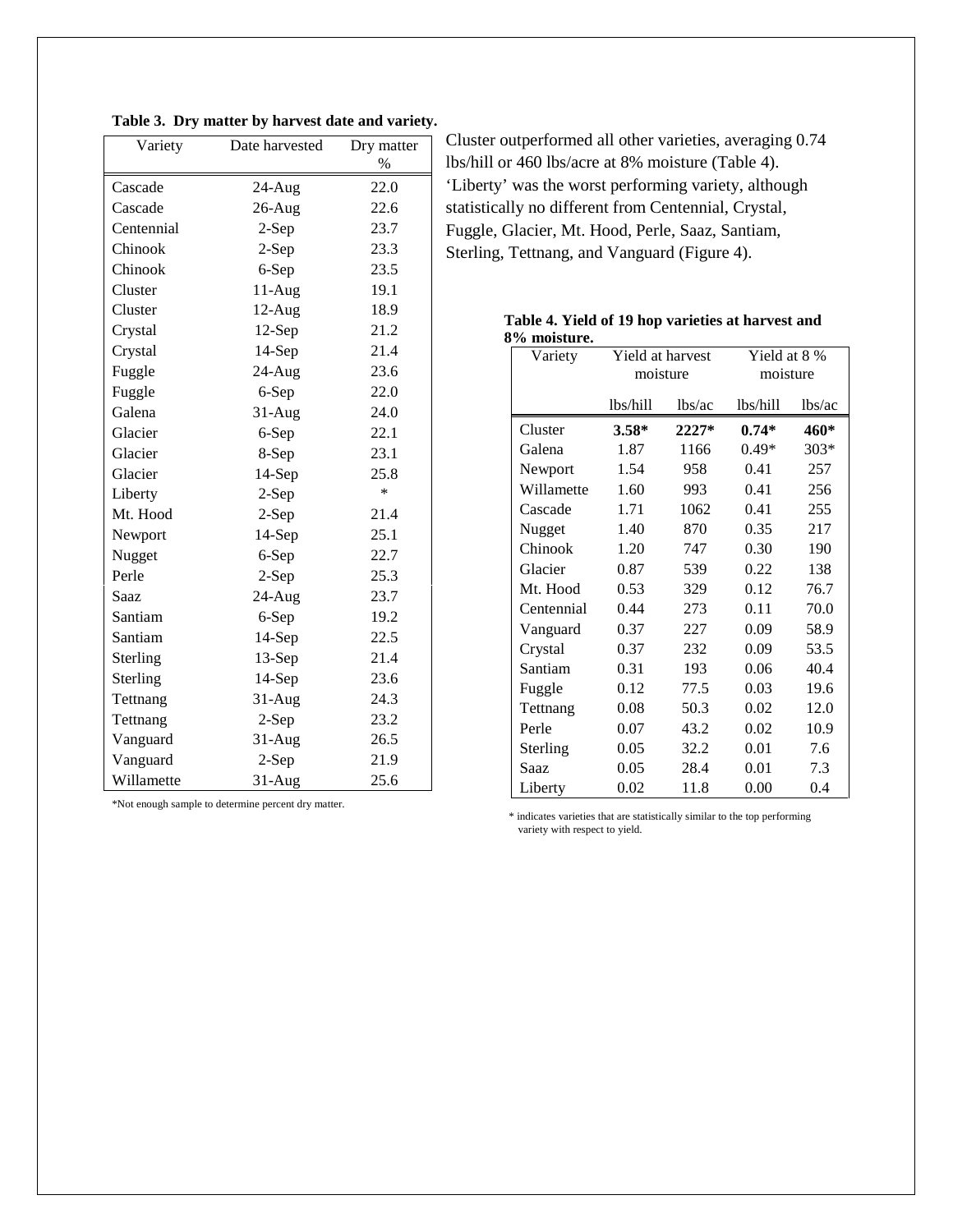| Table 3. Dry matter by harvest date and variety. |  |  |  |  |  |  |  |
|--------------------------------------------------|--|--|--|--|--|--|--|
|--------------------------------------------------|--|--|--|--|--|--|--|

| Variety    | Date harvested | Dry matter    |  |
|------------|----------------|---------------|--|
|            |                | $\frac{0}{0}$ |  |
| Cascade    | 24-Aug         | 22.0          |  |
| Cascade    | $26$ -Aug      | 22.6          |  |
| Centennial | 2-Sep          | 23.7          |  |
| Chinook    | $2-Sep$        | 23.3          |  |
| Chinook    | 6-Sep          | 23.5          |  |
| Cluster    | $11-Aug$       | 19.1          |  |
| Cluster    | $12-Aug$       | 18.9          |  |
| Crystal    | $12-Sep$       | 21.2          |  |
| Crystal    | $14-Sep$       | 21.4          |  |
| Fuggle     | 24-Aug         | 23.6          |  |
| Fuggle     | 6-Sep          | 22.0          |  |
| Galena     | $31-Aug$       | 24.0          |  |
| Glacier    | 6-Sep          | 22.1          |  |
| Glacier    | 8-Sep          | 23.1          |  |
| Glacier    | $14-Sep$       | 25.8          |  |
| Liberty    | $2-Sep$        | $\ast$        |  |
| Mt. Hood   | $2-Sep$        | 21.4          |  |
| Newport    | 14-Sep         | 25.1          |  |
| Nugget     | 6-Sep          | 22.7          |  |
| Perle      | $2-Sep$        | 25.3          |  |
| Saaz       | 24-Aug         | 23.7          |  |
| Santiam    | 6-Sep          | 19.2          |  |
| Santiam    | 14-Sep         | 22.5          |  |
| Sterling   | 13-Sep         | 21.4          |  |
| Sterling   | 14-Sep         | 23.6          |  |
| Tettnang   | 31-Aug         | 24.3          |  |
| Tettnang   | $2-Sep$        | 23.2          |  |
| Vanguard   | 31-Aug         | 26.5          |  |
| Vanguard   | $2-Sep$        | 21.9          |  |
| Willamette | $31-Aug$       | 25.6          |  |

Cluster outperformed all other varieties, averaging 0.74 lbs/hill or 460 lbs/acre at 8% moisture (Table 4). 'Liberty' was the worst performing variety, although statistically no different from Centennial, Crystal, Fuggle, Glacier, Mt. Hood, Perle, Saaz, Santiam, Sterling, Tettnang, and Vanguard (Figure 4).

|              |  | Table 4. Yield of 19 hop varieties at harvest and |
|--------------|--|---------------------------------------------------|
| 8% moisture. |  |                                                   |

| Variety    | Yield at harvest |         | Yield at 8 % |        |  |
|------------|------------------|---------|--------------|--------|--|
|            | moisture         |         | moisture     |        |  |
|            | lbs/hill         | lbs/ac  | lbs/hill     | lbs/ac |  |
| Cluster    | $3.58*$          | $2227*$ | $0.74*$      | 460*   |  |
| Galena     | 1.87             | 1166    | $0.49*$      | $303*$ |  |
| Newport    | 1.54             | 958     | 0.41         | 257    |  |
| Willamette | 1.60             | 993     | 0.41         | 256    |  |
| Cascade    | 1.71             | 1062    | 0.41         | 255    |  |
| Nugget     | 1.40             | 870     | 0.35         | 217    |  |
| Chinook    | 1.20             | 747     | 0.30         | 190    |  |
| Glacier    | 0.87             | 539     | 0.22         | 138    |  |
| Mt. Hood   | 0.53             | 329     | 0.12         | 76.7   |  |
| Centennial | 0.44             | 273     | 0.11         | 70.0   |  |
| Vanguard   | 0.37             | 227     | 0.09         | 58.9   |  |
| Crystal    | 0.37             | 232     | 0.09         | 53.5   |  |
| Santiam    | 0.31             | 193     | 0.06         | 40.4   |  |
| Fuggle     | 0.12             | 77.5    | 0.03         | 19.6   |  |
| Tettnang   | 0.08             | 50.3    | 0.02         | 12.0   |  |
| Perle      | 0.07             | 43.2    | 0.02         | 10.9   |  |
| Sterling   | 0.05             | 32.2    | 0.01         | 7.6    |  |
| Saaz       | 0.05             | 28.4    | 0.01         | 7.3    |  |
| Liberty    | 0.02             | 11.8    | 0.00         | 0.4    |  |

\*Not enough sample to determine percent dry matter.

\* indicates varieties that are statistically similar to the top performing variety with respect to yield.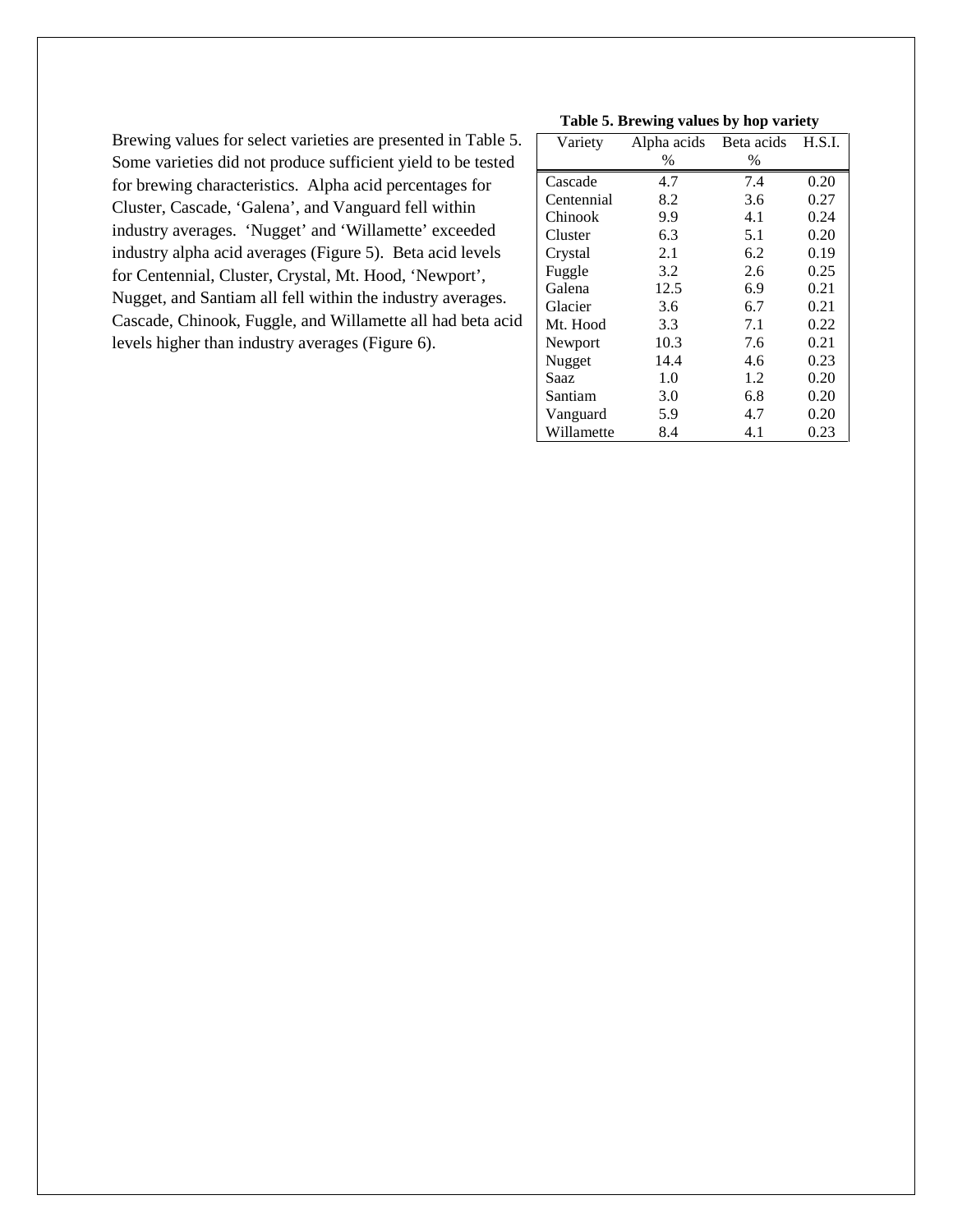Brewing values for select varieties are presented in Table 5. Some varieties did not produce sufficient yield to be tested for brewing characteristics. Alpha acid percentages for Cluster, Cascade, 'Galena', and Vanguard fell within industry averages. 'Nugget' and 'Willamette' exceeded industry alpha acid averages (Figure 5). Beta acid levels for Centennial, Cluster, Crystal, Mt. Hood, 'Newport', Nugget, and Santiam all fell within the industry averages. Cascade, Chinook, Fuggle, and Willamette all had beta acid levels higher than industry averages (Figure 6).

#### **Table 5. Brewing values by hop variety**

| Variety    | Alpha acids | Beta acids | H.S.I. |
|------------|-------------|------------|--------|
|            | %           | %          |        |
| Cascade    | 4.7         | 7.4        | 0.20   |
| Centennial | 8.2         | 3.6        | 0.27   |
| Chinook    | 9.9         | 4.1        | 0.24   |
| Cluster    | 6.3         | 5.1        | 0.20   |
| Crystal    | 2.1         | 6.2        | 0.19   |
| Fuggle     | 3.2         | 2.6        | 0.25   |
| Galena     | 12.5        | 6.9        | 0.21   |
| Glacier    | 3.6         | 6.7        | 0.21   |
| Mt. Hood   | 3.3         | 7.1        | 0.22   |
| Newport    | 10.3        | 7.6        | 0.21   |
| Nugget     | 14.4        | 4.6        | 0.23   |
| Saaz       | 1.0         | 1.2        | 0.20   |
| Santiam    | 3.0         | 6.8        | 0.20   |
| Vanguard   | 5.9         | 4.7        | 0.20   |
| Willamette | 8.4         | 4.1        | 0.23   |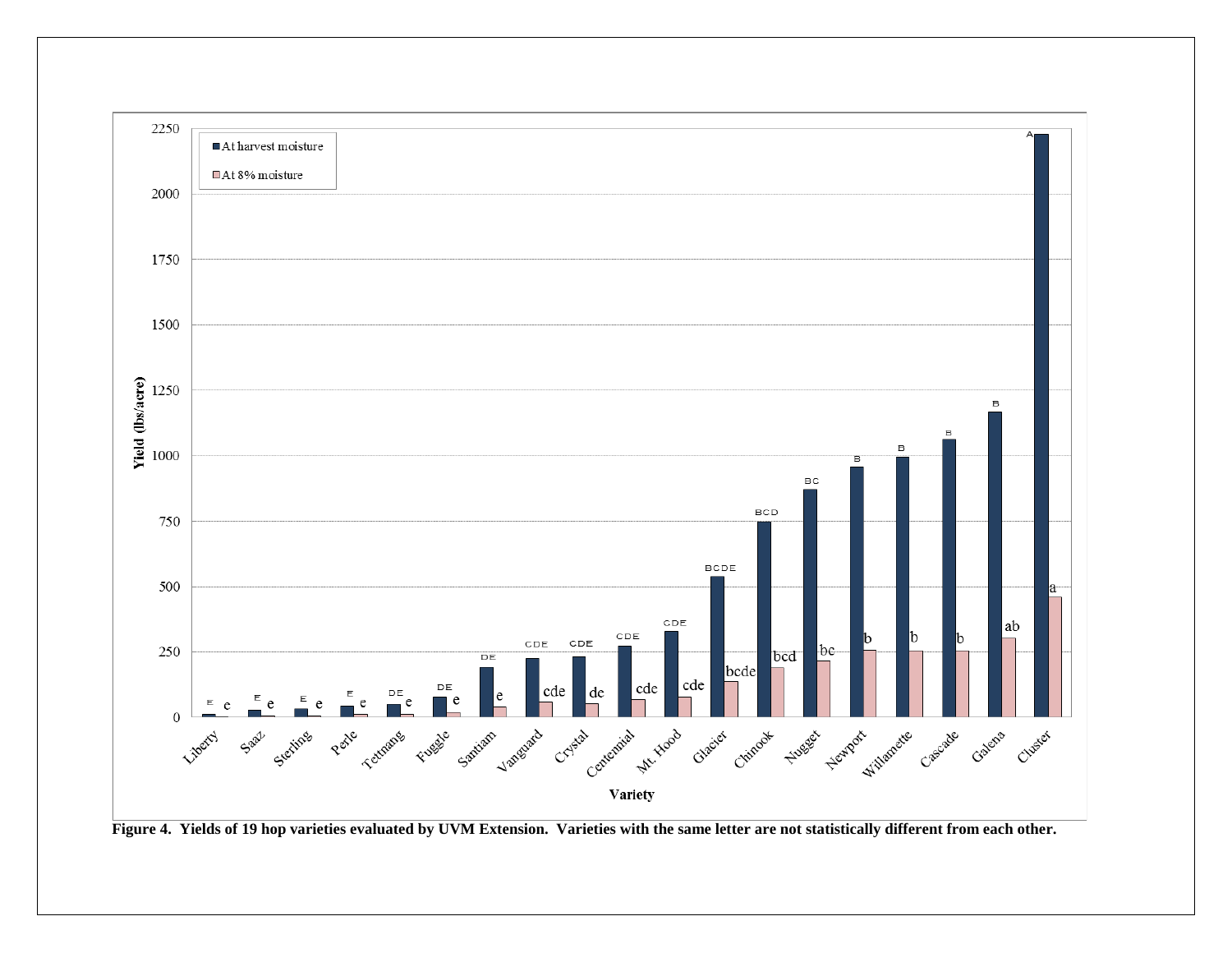

**Figure 4. Yields of 19 hop varieties evaluated by UVM Extension. Varieties with the same letter are not statistically different from each other.**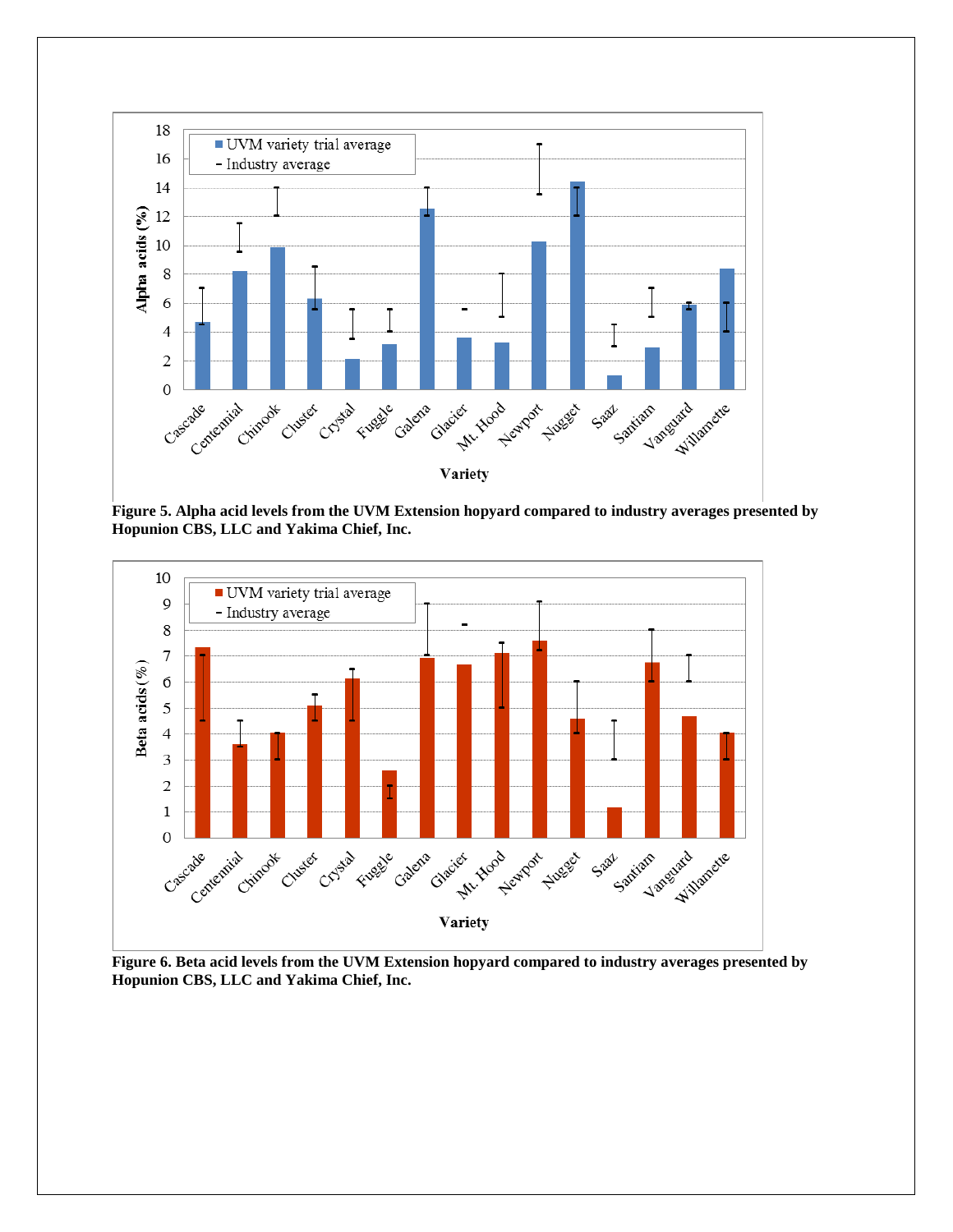

**Figure 5. Alpha acid levels from the UVM Extension hopyard compared to industry averages presented by Hopunion CBS, LLC and Yakima Chief, Inc.**



**Figure 6. Beta acid levels from the UVM Extension hopyard compared to industry averages presented by Hopunion CBS, LLC and Yakima Chief, Inc.**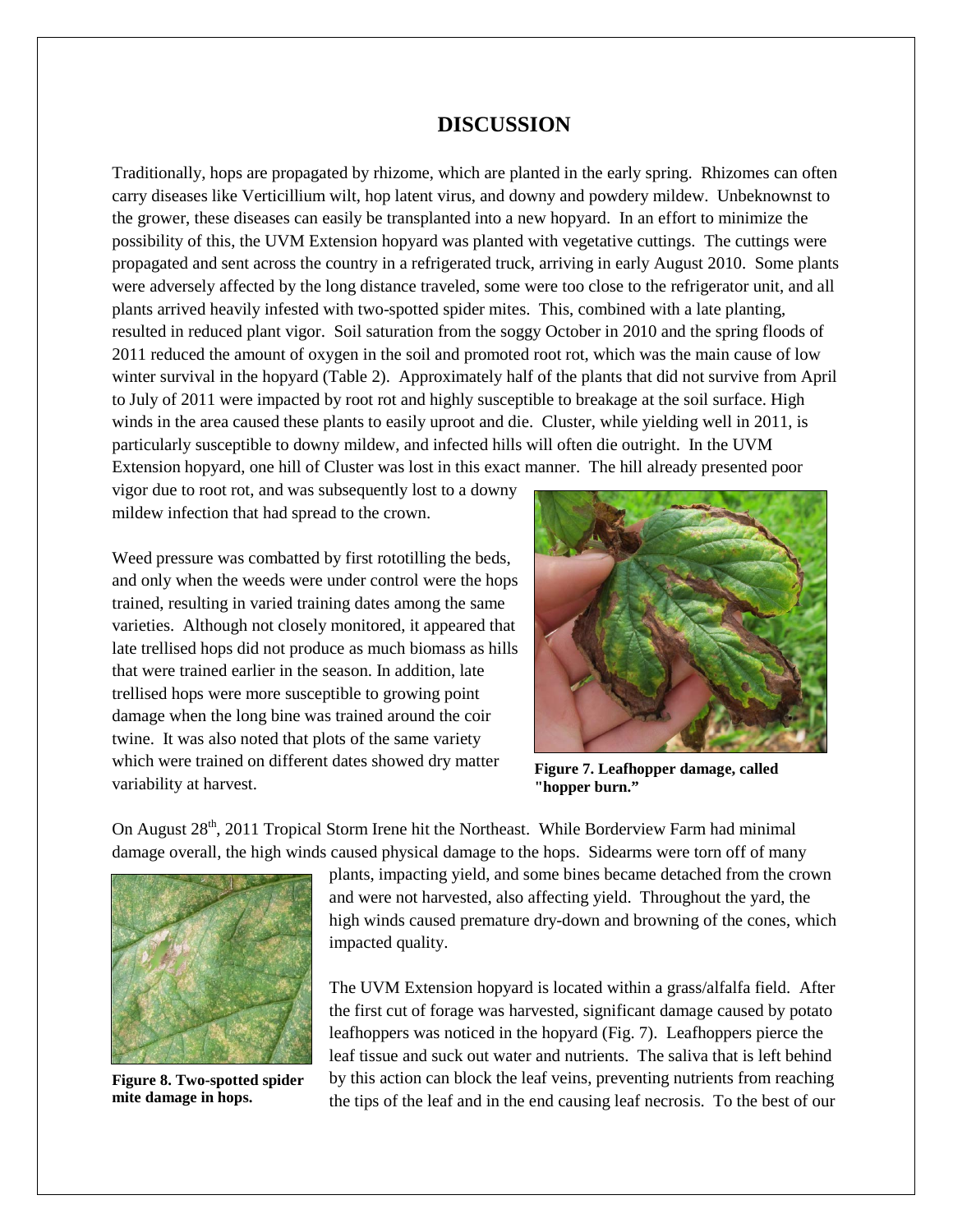### **DISCUSSION**

Traditionally, hops are propagated by rhizome, which are planted in the early spring. Rhizomes can often carry diseases like Verticillium wilt, hop latent virus, and downy and powdery mildew. Unbeknownst to the grower, these diseases can easily be transplanted into a new hopyard. In an effort to minimize the possibility of this, the UVM Extension hopyard was planted with vegetative cuttings. The cuttings were propagated and sent across the country in a refrigerated truck, arriving in early August 2010. Some plants were adversely affected by the long distance traveled, some were too close to the refrigerator unit, and all plants arrived heavily infested with two-spotted spider mites. This, combined with a late planting, resulted in reduced plant vigor. Soil saturation from the soggy October in 2010 and the spring floods of 2011 reduced the amount of oxygen in the soil and promoted root rot, which was the main cause of low winter survival in the hopyard (Table 2). Approximately half of the plants that did not survive from April to July of 2011 were impacted by root rot and highly susceptible to breakage at the soil surface. High winds in the area caused these plants to easily uproot and die. Cluster, while yielding well in 2011, is particularly susceptible to downy mildew, and infected hills will often die outright. In the UVM Extension hopyard, one hill of Cluster was lost in this exact manner. The hill already presented poor

vigor due to root rot, and was subsequently lost to a downy mildew infection that had spread to the crown.

Weed pressure was combatted by first rototilling the beds, and only when the weeds were under control were the hops trained, resulting in varied training dates among the same varieties. Although not closely monitored, it appeared that late trellised hops did not produce as much biomass as hills that were trained earlier in the season. In addition, late trellised hops were more susceptible to growing point damage when the long bine was trained around the coir twine. It was also noted that plots of the same variety which were trained on different dates showed dry matter variability at harvest.



**Figure 7. Leafhopper damage, called "hopper burn."**

On August 28<sup>th</sup>, 2011 Tropical Storm Irene hit the Northeast. While Borderview Farm had minimal damage overall, the high winds caused physical damage to the hops. Sidearms were torn off of many



**Figure 8. Two-spotted spider mite damage in hops.**

plants, impacting yield, and some bines became detached from the crown and were not harvested, also affecting yield. Throughout the yard, the high winds caused premature dry-down and browning of the cones, which impacted quality.

The UVM Extension hopyard is located within a grass/alfalfa field. After the first cut of forage was harvested, significant damage caused by potato leafhoppers was noticed in the hopyard (Fig. 7). Leafhoppers pierce the leaf tissue and suck out water and nutrients. The saliva that is left behind by this action can block the leaf veins, preventing nutrients from reaching the tips of the leaf and in the end causing leaf necrosis. To the best of our